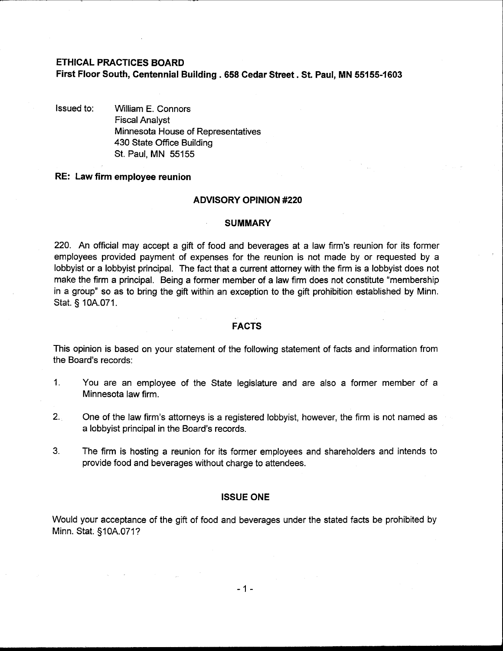# **ETHICAL PRACTICES BOARD**

# **First Floor South, Centennial Building** . **658 Cedar Street. St. Paul, MN 55155-1603**

Issued to: William E. Connors Fiscal Analyst Minnesota House of Representatives 430 State Office Building St. Paul, MN 55155

# **RE: Law firm employee reunion**

## **ADVISORY OPINION #220**

#### **SUMMARY**

220. An official may accept a gift of food and beverages at a law firm's reunion for its former employees provided payment of expenses for the reunion is not made by or requested by a lobbyist or a lobbyist principal. The fact that a current attorney with the firm is a lobbyist does not make the firm a principal. Being a former member of a law firm does not constitute "membership in a group" so as to bring the gift within an exception to the gift prohibition established by Minn. Stat. § I OA.071.

#### **FACTS**

This opinion is based on your statement of the following statement of facts and information from the Board's records:

- 1. You are an employee of the State legislature and are also a former member of a Minnesota law firm.
- 2. One of the law firm's attorneys is a registered lobbyist, however, the firm is not named as a lobbyist principal in the Board's records.
- **3.** The firm is hosting a reunion for its former employees and shareholders and intends to provide food and beverages without charge to attendees.

#### **ISSUE ONE**

Would your acceptance of the gift of food and beverages under the stated facts be prohibited by Minn. Stat. §10A.071?